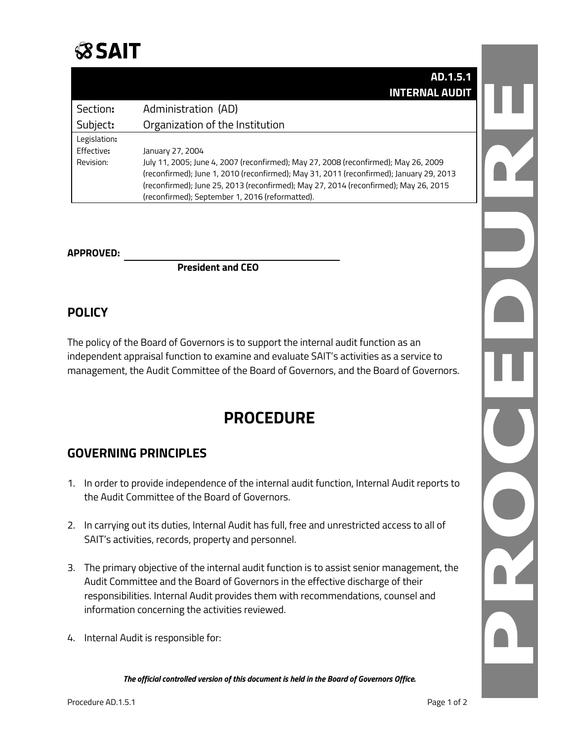

|              | AD.1.5.1                                                                                |
|--------------|-----------------------------------------------------------------------------------------|
|              | <b>INTERNAL AUDIT</b>                                                                   |
| Section:     | Administration (AD)                                                                     |
| Subject:     | Organization of the Institution                                                         |
| Legislation: |                                                                                         |
| Effective:   | January 27, 2004                                                                        |
| Revision:    | July 11, 2005; June 4, 2007 (reconfirmed); May 27, 2008 (reconfirmed); May 26, 2009     |
|              | (reconfirmed); June 1, 2010 (reconfirmed); May 31, 2011 (reconfirmed); January 29, 2013 |
|              | (reconfirmed); June 25, 2013 (reconfirmed); May 27, 2014 (reconfirmed); May 26, 2015    |
|              | (reconfirmed); September 1, 2016 (reformatted).                                         |

#### **APPROVED:**

**President and CEO**

### **POLICY**

The policy of the Board of Governors is to support the internal audit function as an independent appraisal function to examine and evaluate SAIT's activities as a service to management, the Audit Committee of the Board of Governors, and the Board of Governors.

# **PROCEDURE**

### **GOVERNING PRINCIPLES**

- 1. In order to provide independence of the internal audit function, Internal Audit reports to the Audit Committee of the Board of Governors.
- 2. In carrying out its duties, Internal Audit has full, free and unrestricted access to all of SAIT's activities, records, property and personnel.
- 3. The primary objective of the internal audit function is to assist senior management, the Audit Committee and the Board of Governors in the effective discharge of their responsibilities. Internal Audit provides them with recommendations, counsel and information concerning the activities reviewed.
- 4. Internal Audit is responsible for:

*The official controlled version of this document is held in the Board of Governors Office.*